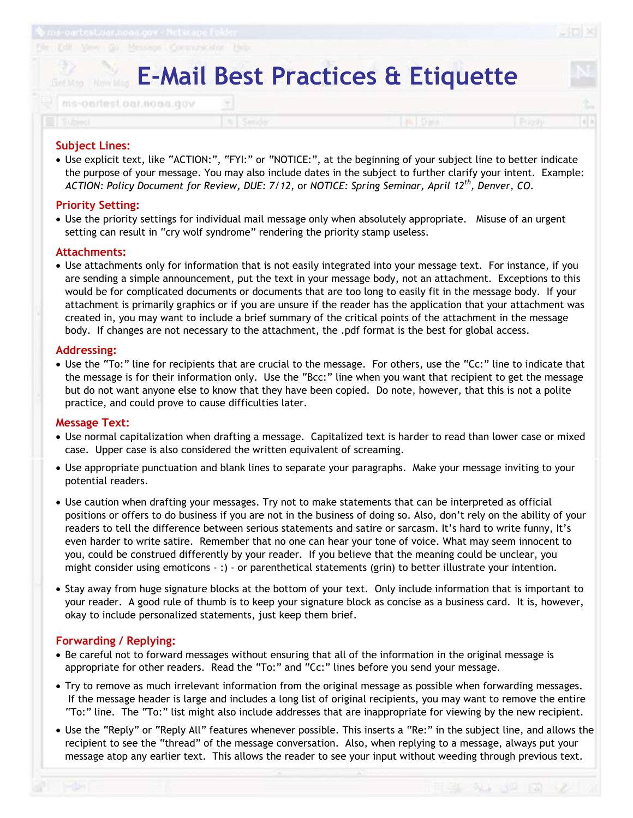# **E-Mail Best Practices & Etiquette**

|  |  | / ms-oartest.car.noaa.gov                                                                        |  |
|--|--|--------------------------------------------------------------------------------------------------|--|
|  |  |                                                                                                  |  |
|  |  | <u> 1958 - La bandaría de la Brasilia de La Brasilia de Santa de Santa de Alexandrese de la </u> |  |
|  |  |                                                                                                  |  |

- Use explicit text, like "ACTION:", "FYI:" or "NOTICE:", at the beginning of your subject line to better indicate the purpose of your message. You may also include dates in the subject to further clarify your intent. Example: *ACTION: Policy Document for Review, DUE: 7/12*, or *NOTICE: Spring Seminar, April 12th, Denver, CO*.

### **Priority Setting:**

**Subject Lines:** 

- Use the priority settings for individual mail message only when absolutely appropriate. Misuse of an urgent setting can result in "cry wolf syndrome" rendering the priority stamp useless.

### **Attachments:**

- Use attachments only for information that is not easily integrated into your message text. For instance, if you are sending a simple announcement, put the text in your message body, not an attachment. Exceptions to this would be for complicated documents or documents that are too long to easily fit in the message body. If your attachment is primarily graphics or if you are unsure if the reader has the application that your attachment was created in, you may want to include a brief summary of the critical points of the attachment in the message body. If changes are not necessary to the attachment, the .pdf format is the best for global access.

### **Addressing:**

- Use the "To:" line for recipients that are crucial to the message. For others, use the "Cc:" line to indicate that the message is for their information only. Use the "Bcc:" line when you want that recipient to get the message but do not want anyone else to know that they have been copied. Do note, however, that this is not a polite practice, and could prove to cause difficulties later.

#### **Message Text:**

- Use normal capitalization when drafting a message. Capitalized text is harder to read than lower case or mixed case. Upper case is also considered the written equivalent of screaming.
- Use appropriate punctuation and blank lines to separate your paragraphs. Make your message inviting to your potential readers.
- Use caution when drafting your messages. Try not to make statements that can be interpreted as official positions or offers to do business if you are not in the business of doing so. Also, don't rely on the ability of your readers to tell the difference between serious statements and satire or sarcasm. It's hard to write funny, It's even harder to write satire. Remember that no one can hear your tone of voice. What may seem innocent to you, could be construed differently by your reader. If you believe that the meaning could be unclear, you might consider using emoticons - :) - or parenthetical statements (grin) to better illustrate your intention.
- Stay away from huge signature blocks at the bottom of your text. Only include information that is important to your reader. A good rule of thumb is to keep your signature block as concise as a business card. It is, however, okay to include personalized statements, just keep them brief.

## **Forwarding / Replying:**

- Be careful not to forward messages without ensuring that all of the information in the original message is appropriate for other readers. Read the "To:" and "Cc:" lines before you send your message.
- Try to remove as much irrelevant information from the original message as possible when forwarding messages. If the message header is large and includes a long list of original recipients, you may want to remove the entire "To:" line. The "To:" list might also include addresses that are inappropriate for viewing by the new recipient.
- Use the "Reply" or "Reply All" features whenever possible. This inserts a "Re:" in the subject line, and allows the recipient to see the "thread" of the message conversation. Also, when replying to a message, always put your message atop any earlier text. This allows the reader to see your input without weeding through previous text.